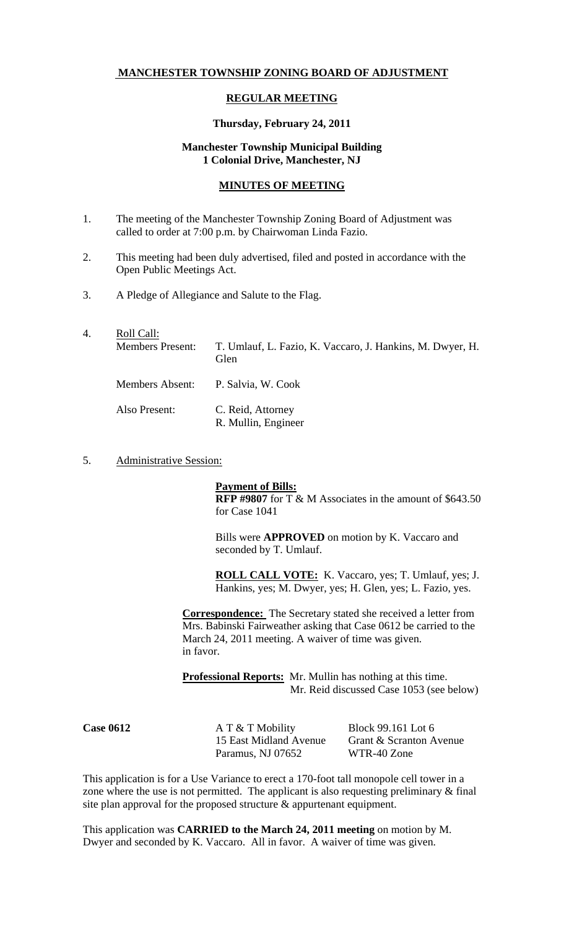# **MANCHESTER TOWNSHIP ZONING BOARD OF ADJUSTMENT**

## **REGULAR MEETING**

#### **Thursday, February 24, 2011**

# **Manchester Township Municipal Building 1 Colonial Drive, Manchester, NJ**

## **MINUTES OF MEETING**

- 1. The meeting of the Manchester Township Zoning Board of Adjustment was called to order at 7:00 p.m. by Chairwoman Linda Fazio.
- 2. This meeting had been duly advertised, filed and posted in accordance with the Open Public Meetings Act.
- 3. A Pledge of Allegiance and Salute to the Flag.
- 4. Roll Call: Members Present: T. Umlauf, L. Fazio, K. Vaccaro, J. Hankins, M. Dwyer, H. Glen Members Absent: P. Salvia, W. Cook Also Present: C. Reid, Attorney R. Mullin, Engineer
- 5. Administrative Session:

**Payment of Bills: RFP #9807** for T & M Associates in the amount of \$643.50 for Case 1041

Bills were **APPROVED** on motion by K. Vaccaro and seconded by T. Umlauf.

**ROLL CALL VOTE:** K. Vaccaro, yes; T. Umlauf, yes; J. Hankins, yes; M. Dwyer, yes; H. Glen, yes; L. Fazio, yes.

**Correspondence:** The Secretary stated she received a letter from Mrs. Babinski Fairweather asking that Case 0612 be carried to the March 24, 2011 meeting. A waiver of time was given. in favor.

**Professional Reports:** Mr. Mullin has nothing at this time. Mr. Reid discussed Case 1053 (see below)

**Case 0612 A T & T Mobility Block 99.161 Lot 6** Paramus, NJ 07652 WTR-40 Zone

15 East Midland Avenue Grant & Scranton Avenue

This application is for a Use Variance to erect a 170-foot tall monopole cell tower in a zone where the use is not permitted. The applicant is also requesting preliminary & final site plan approval for the proposed structure & appurtenant equipment.

This application was **CARRIED to the March 24, 2011 meeting** on motion by M. Dwyer and seconded by K. Vaccaro. All in favor. A waiver of time was given.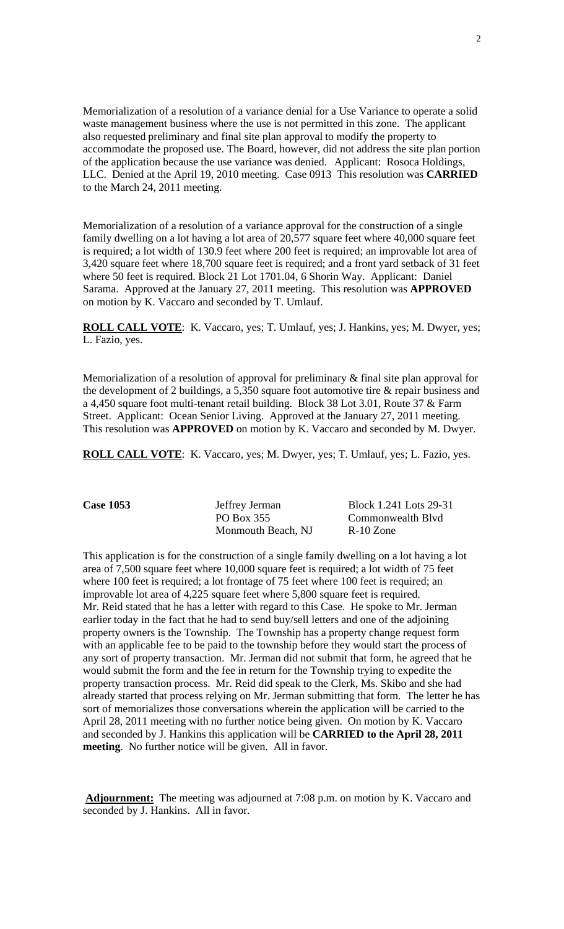Memorialization of a resolution of a variance denial for a Use Variance to operate a solid waste management business where the use is not permitted in this zone. The applicant also requested preliminary and final site plan approval to modify the property to accommodate the proposed use. The Board, however, did not address the site plan portion of the application because the use variance was denied. Applicant: Rosoca Holdings, LLC. Denied at the April 19, 2010 meeting. Case 0913 This resolution was **CARRIED** to the March 24, 2011 meeting.

Memorialization of a resolution of a variance approval for the construction of a single family dwelling on a lot having a lot area of 20,577 square feet where 40,000 square feet is required; a lot width of 130.9 feet where 200 feet is required; an improvable lot area of 3,420 square feet where 18,700 square feet is required; and a front yard setback of 31 feet where 50 feet is required. Block 21 Lot 1701.04, 6 Shorin Way. Applicant: Daniel Sarama. Approved at the January 27, 2011 meeting. This resolution was **APPROVED** on motion by K. Vaccaro and seconded by T. Umlauf.

**ROLL CALL VOTE**: K. Vaccaro, yes; T. Umlauf, yes; J. Hankins, yes; M. Dwyer, yes; L. Fazio, yes.

Memorialization of a resolution of approval for preliminary & final site plan approval for the development of 2 buildings, a 5,350 square foot automotive tire & repair business and a 4,450 square foot multi-tenant retail building. Block 38 Lot 3.01, Route 37 & Farm Street. Applicant: Ocean Senior Living. Approved at the January 27, 2011 meeting. This resolution was **APPROVED** on motion by K. Vaccaro and seconded by M. Dwyer.

**ROLL CALL VOTE**: K. Vaccaro, yes; M. Dwyer, yes; T. Umlauf, yes; L. Fazio, yes.

| <b>Case 1053</b> | Jeffrey Jerman     | Block 1.241 Lots 29-31 |
|------------------|--------------------|------------------------|
|                  | PO Box 355         | Commonwealth Blvd      |
|                  | Monmouth Beach, NJ | $R-10$ Zone            |

This application is for the construction of a single family dwelling on a lot having a lot area of 7,500 square feet where 10,000 square feet is required; a lot width of 75 feet where 100 feet is required; a lot frontage of 75 feet where 100 feet is required; an improvable lot area of 4,225 square feet where 5,800 square feet is required. Mr. Reid stated that he has a letter with regard to this Case. He spoke to Mr. Jerman earlier today in the fact that he had to send buy/sell letters and one of the adjoining property owners is the Township. The Township has a property change request form with an applicable fee to be paid to the township before they would start the process of any sort of property transaction. Mr. Jerman did not submit that form, he agreed that he would submit the form and the fee in return for the Township trying to expedite the property transaction process. Mr. Reid did speak to the Clerk, Ms. Skibo and she had already started that process relying on Mr. Jerman submitting that form. The letter he has sort of memorializes those conversations wherein the application will be carried to the April 28, 2011 meeting with no further notice being given. On motion by K. Vaccaro and seconded by J. Hankins this application will be **CARRIED to the April 28, 2011 meeting**. No further notice will be given. All in favor.

**Adjournment:** The meeting was adjourned at 7:08 p.m. on motion by K. Vaccaro and seconded by J. Hankins. All in favor.